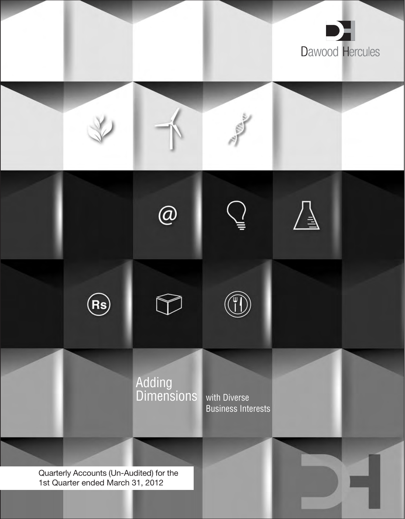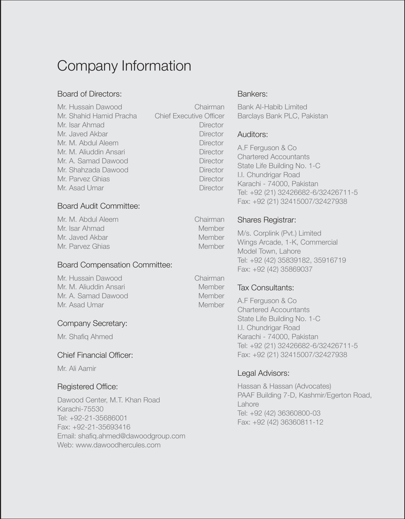# Company Information

#### Board of Directors:

Mr. Hussain Dawood Chairman Mr. Shahid Hamid Pracha Chief Executive Officer Mr. Isar Ahmad Director Mr. Javed Akbar Director Mr. M. Abdul Aleem Director Mr. M. Aliuddin Ansari **Director** Mr. A. Samad Dawood Director Mr. Shahzada Dawood Director Mr. Parvez Ghias Director Mr. Asad Umar Director

#### Board Audit Committee:

Mr. M. Abdul Aleem Chairman Mr. Isar Ahmad Member Mr. Javed Akbar Member Mr. Parvez Ghias Member

#### Board Compensation Committee:

Mr. Hussain Dawood Chairman Mr. M. Aliuddin Ansari Member Mr. A. Samad Dawood Member Mr. Asad Umar Member

#### Company Secretary:

Mr. Shafiq Ahmed

#### Chief Financial Officer:

Mr. Ali Aamir

#### Registered Office:

Dawood Center, M.T. Khan Road Karachi-75530 Tel: +92-21-35686001 Fax: +92-21-35693416 Email: shafiq.ahmed@dawoodgroup.com Web: www.dawoodhercules.com

Bankers:

Bank Al-Habib Limited Barclays Bank PLC, Pakistan

#### Auditors:

A.F Ferguson & Co Chartered Accountants State Life Building No. 1-C I.I. Chundrigar Road Karachi - 74000, Pakistan Tel: +92 (21) 32426682-6/32426711-5 Fax: +92 (21) 32415007/32427938

#### Shares Registrar:

M/s. Corplink (Pvt.) Limited Wings Arcade, 1-K, Commercial Model Town, Lahore Tel: +92 (42) 35839182, 35916719 Fax: +92 (42) 35869037

#### Tax Consultants:

A.F Ferguson & Co Chartered Accountants State Life Building No. 1-C I.I. Chundrigar Road Karachi - 74000, Pakistan Tel: +92 (21) 32426682-6/32426711-5 Fax: +92 (21) 32415007/32427938

#### Legal Advisors:

Hassan & Hassan (Advocates) PAAF Building 7-D, Kashmir/Egerton Road, Lahore Tel: +92 (42) 36360800-03 Fax: +92 (42) 36360811-12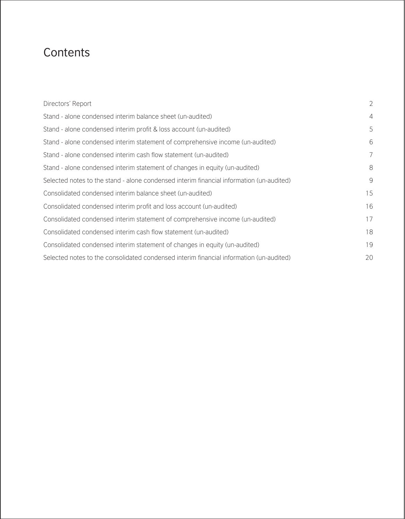### **Contents**

| Directors' Report                                                                        | $\overline{2}$ |
|------------------------------------------------------------------------------------------|----------------|
| Stand - alone condensed interim balance sheet (un-audited)                               | $\overline{4}$ |
| Stand - alone condensed interim profit & loss account (un-audited)                       | 5              |
| Stand - alone condensed interim statement of comprehensive income (un-audited)           | 6              |
| Stand - alone condensed interim cash flow statement (un-audited)                         | 7              |
| Stand - alone condensed interim statement of changes in equity (un-audited)              | 8              |
| Selected notes to the stand - alone condensed interim financial information (un-audited) | 9              |
| Consolidated condensed interim balance sheet (un-audited)                                | 15             |
| Consolidated condensed interim profit and loss account (un-audited)                      | 16             |
| Consolidated condensed interim statement of comprehensive income (un-audited)            | 17             |
| Consolidated condensed interim cash flow statement (un-audited)                          | 18             |
| Consolidated condensed interim statement of changes in equity (un-audited)               | 19             |
| Selected notes to the consolidated condensed interim financial information (un-audited)  | 20             |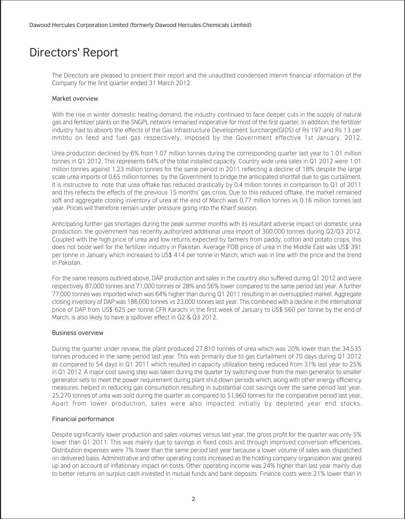### Directors' Report

The Directors are pleased to present their report and the unaudited condensed interim financial information of the Company for the first quarter ended 31 March 2012.

#### Market overview

With the rise in winter domestic heating demand, the industry continued to face deeper cuts in the supply of natural gas and fertilizer plants on the SNGPL network remained inoperative for most of the first quarter. In addition, the fertilizer industry had to absorb the effects of the Gas Infrastructure Development Surcharge(GIDS) of Rs 197 and Rs 13 per mmbtu on feed and fuel gas respectively, imposed by the Government effective 1st January, 2012.

Urea production declined by 6% from 1.07 million tonnes during the corresponding quarter last year to 1.01 million tonnes in Q1 2012. This represents 64% of the total installed capacity. Country wide urea sales in Q1 2012 were 1.01 million tonnes against 1.23 million tonnes for the same period in 2011 reflecting a decline of 18% despite the large scale urea imports of 0.65 million tonnes by the Government to bridge the anticipated shortfall due to gas curtailment. It is instructive to note that urea offtake has reduced drastically by 0.4 million tonnes in comparison to Q1 of 2011 and this reflects the effects of the previous 15 months' gas crisis. Due to this reduced offtake, the market remained soft and aggregate closing inventory of urea at the end of March was 0.77 million tonnes vs 0.16 million tonnes last year. Prices will therefore remain under pressure going into the Kharif season.

Anticipating further gas shortages during the peak summer months with its resultant adverse impact on domestic urea production, the government has recently authorized additional urea import of 300,000 tonnes during Q2/Q3 2012. Coupled with the high price of urea and low returns expected by farmers from paddy, cotton and potato crops, this does not bode well for the fertilizer industry in Pakistan. Average FOB price of urea in the Middle East was US\$ 391 per tonne in January which increased to US\$ 414 per tonne in March, which was in line with the price and the trend in Pakistan.

For the same reasons outlined above, DAP production and sales in the country also suffered during Q1 2012 and were respectively 87,000 tonnes and 71,000 tonnes or 28% and 56% lower compared to the same period last year. A further 77,000 tonnes was imported which was 64% higher than during Q1 2011 resulting in an oversupplied market. Aggregate closing inventory of DAP was 186,000 tonnes vs 23,000 tonnes last year. This combined with a decline in the international price of DAP from US\$ 625 per tonne CFR Karachi in the first week of January to US\$ 560 per tonne by the end of March, is also likely to have a spillover effect in Q2 & Q3 2012.

#### Business overview

During the quarter under review, the plant produced 27,810 tonnes of urea which was 20% lower than the 34,535 tonnes produced in the same period last year. This was primarily due to gas curtailment of 70 days during Q1 2012 as compared to 54 days in Q1 2011 which resulted in capacity utilization being reduced from 31% last year to 25% in Q1 2012. A major cost saving step was taken during the quarter by switching over from the main generator to smaller generator sets to meet the power requirement during plant shut-down periods which, along with other energy efficiency measures, helped in reducing gas consumption resulting in substantial cost savings over the same period last year. 25,270 tonnes of urea was sold during the quarter as compared to 51,960 tonnes for the comparative period last year. Apart from lower production, sales were also impacted initially by depleted year end stocks.

#### Financial performance

Despite significantly lower production and sales volumes versus last year, the gross profit for the quarter was only 5% lower than Q1 2011. This was mainly due to savings in fixed costs and through improved conversion efficiencies. Distribution expenses were 7% lower than the same period last year because a lower volume of sales was dispatched on delivered basis. Administrative and other operating costs increased as the holding company organization was geared up and on account of inflationary impact on costs. Other operating income was 24% higher than last year mainly due to better returns on surplus cash invested in mutual funds and bank deposits. Finance costs were 21% lower than in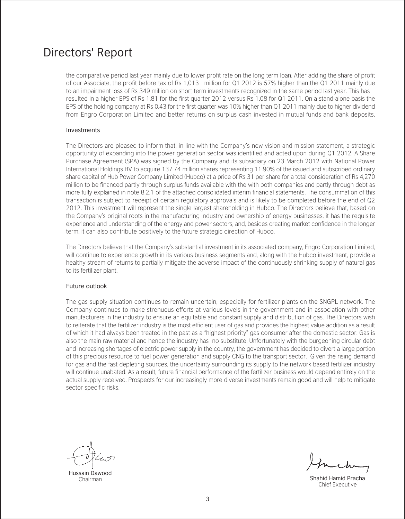### Directors' Report

 the comparative period last year mainly due to lower profit rate on the long term loan. After adding the share of profit of our Associate, the profit before tax of Rs 1,013 million for Q1 2012 is 57% higher than the Q1 2011 mainly due to an impairment loss of Rs 349 million on short term investments recognized in the same period last year. This has resulted in a higher EPS of Rs 1.81 for the first quarter 2012 versus Rs 1.08 for Q1 2011. On a stand-alone basis the EPS of the holding company at Rs 0.43 for the first quarter was 10% higher than Q1 2011 mainly due to higher dividend from Engro Corporation Limited and better returns on surplus cash invested in mutual funds and bank deposits.

#### Investments

The Directors are pleased to inform that, in line with the Company's new vision and mission statement, a strategic opportunity of expanding into the power generation sector was identified and acted upon during Q1 2012. A Share Purchase Agreement (SPA) was signed by the Company and its subsidiary on 23 March 2012 with National Power International Holdings BV to acquire 137.74 million shares representing 11.90% of the issued and subscribed ordinary share capital of Hub Power Company Limited (Hubco) at a price of Rs 31 per share for a total consideration of Rs 4,270 million to be financed partly through surplus funds available with the with both companies and partly through debt as more fully explained in note 8.2.1 of the attached consolidated interim financial statements. The consummation of this transaction is subject to receipt of certain regulatory approvals and is likely to be completed before the end of Q2 2012. This investment will represent the single largest shareholding in Hubco. The Directors believe that, based on the Company's original roots in the manufacturing industry and ownership of energy businesses, it has the requisite experience and understanding of the energy and power sectors, and, besides creating market confidence in the longer term, it can also contribute positively to the future strategic direction of Hubco.

The Directors believe that the Company's substantial investment in its associated company, Engro Corporation Limited, will continue to experience growth in its various business segments and, along with the Hubco investment, provide a healthy stream of returns to partially mitigate the adverse impact of the continuously shrinking supply of natural gas to its fertilizer plant.

#### Future outlook

The gas supply situation continues to remain uncertain, especially for fertilizer plants on the SNGPL network. The Company continues to make strenuous efforts at various levels in the government and in association with other manufacturers in the industry to ensure an equitable and constant supply and distribution of gas. The Directors wish to reiterate that the fertilizer industry is the most efficient user of gas and provides the highest value addition as a result of which it had always been treated in the past as a "highest priority" gas consumer after the domestic sector. Gas is also the main raw material and hence the industry has no substitute. Unfortunately with the burgeoning circular debt and increasing shortages of electric power supply in the country, the government has decided to divert a large portion of this precious resource to fuel power generation and supply CNG to the transport sector. Given the rising demand for gas and the fast depleting sources, the uncertainty surrounding its supply to the network based fertilizer industry will continue unabated. As a result, future financial performance of the fertilizer business would depend entirely on the actual supply received. Prospects for our increasingly more diverse investments remain good and will help to mitigate sector specific risks.

Hussain Dawood Chairman

Shahid Hamid Pracha Chief Executive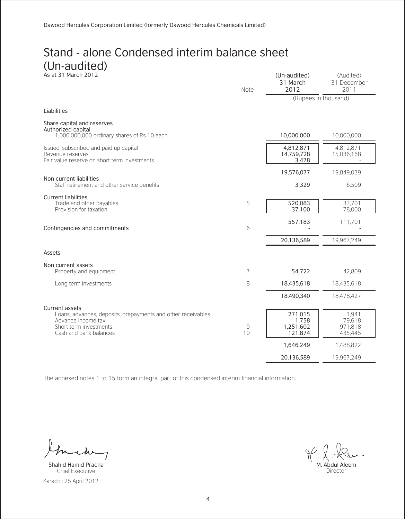#### Stand - alone Condensed interim balance sheet (Un-audited) As at 31 March 2012 (Un-audited)

| As at 31 March 2012                                                                                                                                      | Note    | (Un-audited)<br>31 March<br>2012                      | (Audited)<br>31 December<br>2011                   |
|----------------------------------------------------------------------------------------------------------------------------------------------------------|---------|-------------------------------------------------------|----------------------------------------------------|
|                                                                                                                                                          |         |                                                       | (Rupees in thousand)                               |
| Liabilities                                                                                                                                              |         |                                                       |                                                    |
| Share capital and reserves<br>Authorized capital<br>1,000,000,000 ordinary shares of Rs 10 each                                                          |         | 10,000,000                                            | 10.000.000                                         |
| Issued, subscribed and paid up capital<br>Revenue reserves<br>Fair value reserve on short term investments                                               |         | 4,812,871<br>14,759,728<br>3,478                      | 4,812,871<br>15,036,168                            |
|                                                                                                                                                          |         | 19,576,077                                            | 19,849,039                                         |
| Non current liabilities<br>Staff retirement and other service benefits                                                                                   |         | 3,329                                                 | 6.509                                              |
| <b>Current liabilities</b><br>Trade and other payables<br>Provision for taxation                                                                         | 5       | 520,083<br>37,100                                     | 33.701<br>78,000                                   |
| Contingencies and commitments                                                                                                                            | 6       | 557,183                                               | 111.701                                            |
|                                                                                                                                                          |         | 20,136,589                                            | 19.967.249                                         |
| Assets                                                                                                                                                   |         |                                                       |                                                    |
| Non current assets                                                                                                                                       |         |                                                       |                                                    |
| Property and equipment                                                                                                                                   | 7       | 54,722                                                | 42,809                                             |
| Long term investments                                                                                                                                    | 8       | 18,435,618                                            | 18,435,618                                         |
|                                                                                                                                                          |         | 18,490,340                                            | 18,478,427                                         |
| Current assets<br>Loans, advances, deposits, prepayments and other receivables<br>Advance income tax<br>Short term investments<br>Cash and bank balances | 9<br>10 | 271,015<br>1,758<br>1,251,602<br>121,874<br>1,646,249 | 1.941<br>79,618<br>971,818<br>435,445<br>1,488,822 |
|                                                                                                                                                          |         | 20,136,589                                            | 19.967.249                                         |

 $\lambda\omega$  $\overline{1}$ 

Karachi: 25 April 2012 Shahid Hamid Pracha Chief Executive

M. Abdul Aleem Director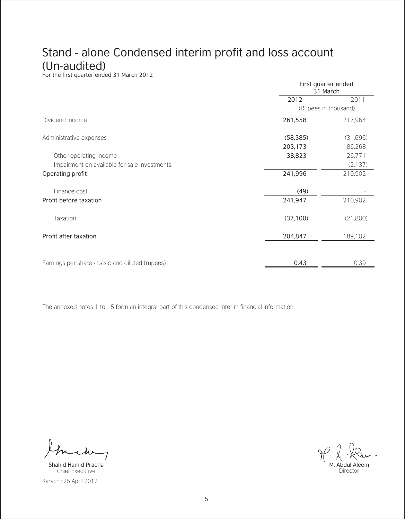# Stand - alone Condensed interim profit and loss account

(Un-audited)<br>For the first quarter ended 31 March 2012

|                                                 | First quarter ended<br>31 March |                      |  |
|-------------------------------------------------|---------------------------------|----------------------|--|
|                                                 | 2012                            | 2011                 |  |
|                                                 |                                 | (Rupees in thousand) |  |
| Dividend income                                 | 261,558                         | 217,964              |  |
| Administrative expenses                         | (58, 385)                       | (31,696)             |  |
|                                                 | 203,173                         | 186,268              |  |
| Other operating income                          | 38,823                          | 26.771               |  |
| Impairment on available for sale investments    |                                 | (2, 137)             |  |
| Operating profit                                | 241,996                         | 210,902              |  |
| Finance cost                                    | (49)                            |                      |  |
| Profit before taxation                          | 241,947                         | 210,902              |  |
| Taxation                                        | (37, 100)                       | (21,800)             |  |
| Profit after taxation                           | 204,847                         | 189,102              |  |
|                                                 |                                 |                      |  |
| Earnings per share - basic and diluted (rupees) | 0.43                            | 0.39                 |  |

7

Karachi: 25 April 2012 Shahid Hamid Pracha Chief Executive

M. Abdul Aleem Director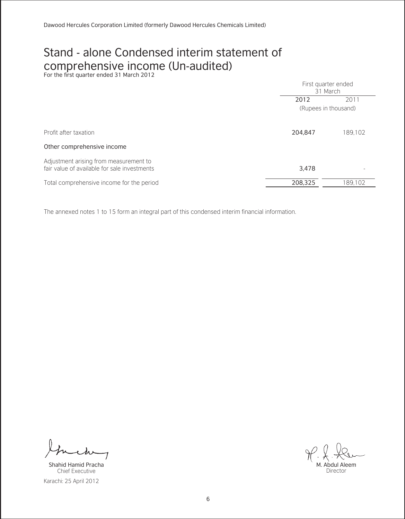# Stand - alone Condensed interim statement of COMPrehensive income (Un-audited)<br>For the first quarter ended 31 March 2012

|                                                                                        | First quarter ended<br>31 March |         |
|----------------------------------------------------------------------------------------|---------------------------------|---------|
|                                                                                        | 2012                            | 2011    |
|                                                                                        | (Rupees in thousand)            |         |
|                                                                                        |                                 |         |
| Profit after taxation                                                                  | 204,847                         | 189,102 |
| Other comprehensive income                                                             |                                 |         |
| Adjustment arising from measurement to<br>fair value of available for sale investments | 3.478                           |         |
| Total comprehensive income for the period                                              | 208,325                         | 189.102 |

7

Karachi: 25 April 2012 Shahid Hamid Pracha Chief Executive

M. Abdul Aleem Director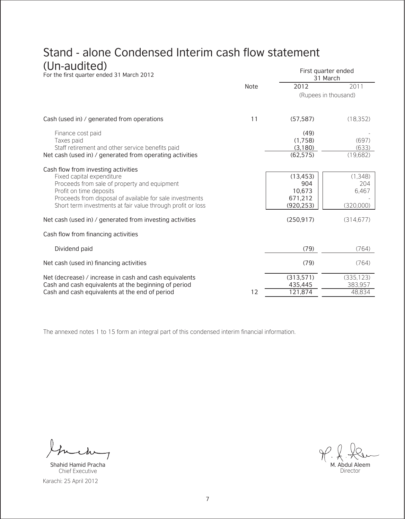#### Stand - alone Condensed Interim cash flow statement  $(U_{\mathbf{p}})$

| (Un-audited)<br>For the first quarter ended 31 March 2012                                                                                                                                                                                                              |      |                                                    | First quarter ended<br>31 March      |
|------------------------------------------------------------------------------------------------------------------------------------------------------------------------------------------------------------------------------------------------------------------------|------|----------------------------------------------------|--------------------------------------|
|                                                                                                                                                                                                                                                                        | Note | 2012                                               | 2011                                 |
|                                                                                                                                                                                                                                                                        |      |                                                    | (Rupees in thousand)                 |
| Cash (used in) / generated from operations                                                                                                                                                                                                                             | 11   | (57, 587)                                          | (18, 352)                            |
| Finance cost paid<br>Taxes paid<br>Staff retirement and other service benefits paid<br>Net cash (used in) / generated from operating activities                                                                                                                        |      | (49)<br>(1,758)<br>(3,180)<br>(62, 575)            | (697)<br>(633)<br>(19,682)           |
| Cash flow from investing activities<br>Fixed capital expenditure<br>Proceeds from sale of property and equipment<br>Profit on time deposits<br>Proceeds from disposal of available for sale investments<br>Short term investments at fair value through profit or loss |      | (13, 453)<br>904<br>10,673<br>671,212<br>(920.253) | (1.348)<br>204<br>6.467<br>(320,000) |
| Net cash (used in) / generated from investing activities                                                                                                                                                                                                               |      | (250.917)                                          | (314.677)                            |
| Cash flow from financing activities                                                                                                                                                                                                                                    |      |                                                    |                                      |
| Dividend paid                                                                                                                                                                                                                                                          |      | (79)                                               | (764)                                |
| Net cash (used in) financing activities                                                                                                                                                                                                                                |      | (79)                                               | (764)                                |
| Net (decrease) / increase in cash and cash equivalents<br>Cash and cash equivalents at the beginning of period                                                                                                                                                         |      | (313,571)<br>435,445                               | (335, 123)<br>383.957                |
| Cash and cash equivalents at the end of period                                                                                                                                                                                                                         | 12   | 121,874                                            | 48.834                               |

 $\overline{1}$ 

Karachi: 25 April 2012 Shahid Hamid Pracha Chief Executive

M. Abdul Aleem Director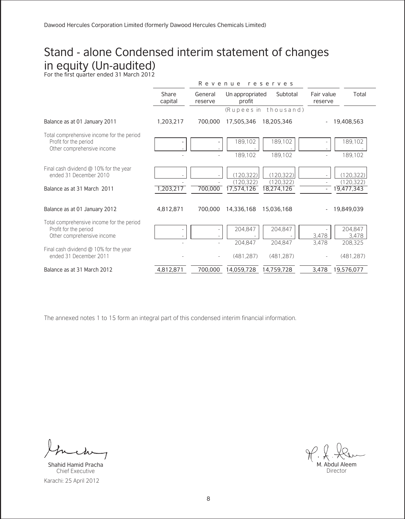# Stand - alone Condensed interim statement of changes in equity (Un-audited) For the first quarter ended 31 March 2012

|                                                                                                  |                  | Revenue<br>reserves |                                      |                                      |                       |                                       |
|--------------------------------------------------------------------------------------------------|------------------|---------------------|--------------------------------------|--------------------------------------|-----------------------|---------------------------------------|
|                                                                                                  | Share<br>capital | General<br>reserve  | Un appropriated<br>profit            | Subtotal                             | Fair value<br>reserve | Total                                 |
|                                                                                                  |                  |                     |                                      | (Rupees in thousand)                 |                       |                                       |
| Balance as at 01 January 2011                                                                    | 1,203,217        | 700,000             | 17,505,346                           | 18,205,346                           |                       | 19,408,563                            |
| Total comprehensive income for the period<br>Profit for the period<br>Other comprehensive income |                  |                     | 189.102<br>189.102                   | 189,102<br>189.102                   |                       | 189,102<br>189,102                    |
| Final cash dividend @ 10% for the year<br>ended 31 December 2010<br>Balance as at 31 March 2011  | 1,203,217        | 700,000             | (120.322)<br>(120.322)<br>17,574,126 | (120.322)<br>(120.322)<br>18,274,126 |                       | (120.322)<br>(120, 322)<br>19,477,343 |
| Balance as at 01 January 2012                                                                    | 4,812,871        | 700,000             | 14,336,168                           | 15,036,168                           |                       | 19,849,039                            |
| Total comprehensive income for the period<br>Profit for the period<br>Other comprehensive income |                  |                     | 204.847<br>204.847                   | 204.847<br>204.847                   | 3.478<br>3.478        | 204.847<br>3.478<br>208,325           |
| Final cash dividend $@$ 10% for the year<br>ended 31 December 2011                               |                  |                     | (481.287)                            | (481.287)                            |                       | (481, 287)                            |
| Balance as at 31 March 2012                                                                      | 4,812,871        | 700.000             | 14,059,728                           | 14,759,728                           | 3,478                 | 19,576,077                            |

Karachi: 25 April 2012 Shahid Hamid Pracha Chief Executive

M. Abdul Aleem Director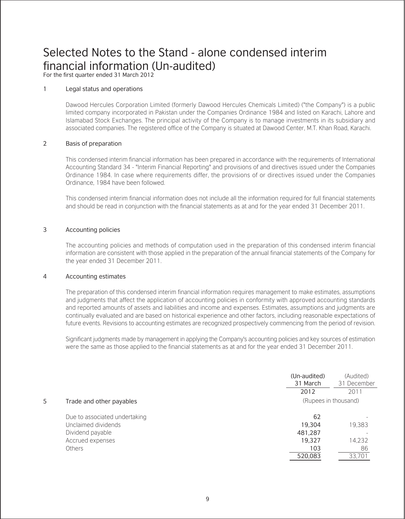### Selected Notes to the Stand - alone condensed interim financial information (Un-audited)

For the first quarter ended 31 March 2012

#### 1 Legal status and operations

Dawood Hercules Corporation Limited (formerly Dawood Hercules Chemicals Limited) ("the Company") is a public limited company incorporated in Pakistan under the Companies Ordinance 1984 and listed on Karachi, Lahore and Islamabad Stock Exchanges. The principal activity of the Company is to manage investments in its subsidiary and associated companies. The registered office of the Company is situated at Dawood Center, M.T. Khan Road, Karachi.

#### 2 Basis of preparation

This condensed interim financial information has been prepared in accordance with the requirements of International Accounting Standard 34 - "Interim Financial Reporting" and provisions of and directives issued under the Companies Ordinance 1984. In case where requirements differ, the provisions of or directives issued under the Companies Ordinance, 1984 have been followed.

This condensed interim financial information does not include all the information required for full financial statements and should be read in conjunction with the financial statements as at and for the year ended 31 December 2011.

#### 3 Accounting policies

The accounting policies and methods of computation used in the preparation of this condensed interim financial information are consistent with those applied in the preparation of the annual financial statements of the Company for the year ended 31 December 2011.

#### 4 Accounting estimates

The preparation of this condensed interim financial information requires management to make estimates, assumptions and judgments that affect the application of accounting policies in conformity with approved accounting standards and reported amounts of assets and liabilities and income and expenses. Estimates, assumptions and judgments are continually evaluated and are based on historical experience and other factors, including reasonable expectations of future events. Revisions to accounting estimates are recognized prospectively commencing from the period of revision.

Significant judgments made by management in applying the Company's accounting policies and key sources of estimation were the same as those applied to the financial statements as at and for the year ended 31 December 2011.

|                  |                               | (Un-audited)<br>31 March<br>2012 | (Audited)<br>31 December<br>2011 |
|------------------|-------------------------------|----------------------------------|----------------------------------|
| 5.               | Trade and other payables      | (Rupees in thousand)             |                                  |
|                  | Due to associated undertaking | 62                               |                                  |
|                  | Unclaimed dividends           | 19,304                           | 19,383                           |
| Dividend payable |                               | 481,287                          |                                  |
| Accrued expenses |                               | 19.327                           | 14.232                           |
| <b>Others</b>    |                               | 103                              | 86                               |
|                  |                               | 520,083                          | 33,701                           |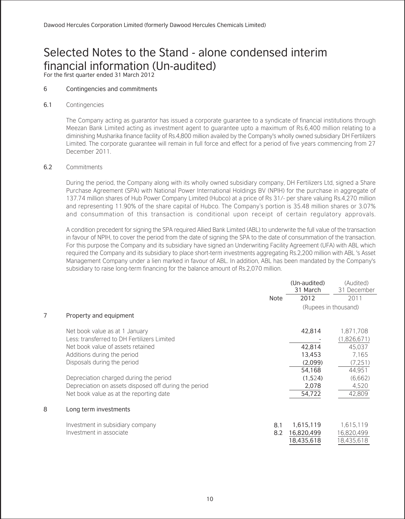### Selected Notes to the Stand - alone condensed interim financial information (Un-audited)

For the first quarter ended 31 March 2012

#### 6 Contingencies and commitments

#### 6.1 Contingencies

The Company acting as guarantor has issued a corporate guarantee to a syndicate of financial institutions through Meezan Bank Limited acting as investment agent to guarantee upto a maximum of Rs.6,400 million relating to a diminishing Musharika finance facility of Rs.4,800 million availed by the Company's wholly owned subsidiary DH Fertilizers Limited. The corporate guarantee will remain in full force and effect for a period of five years commencing from 27 December 2011.

#### 6.2 Commitments

During the period, the Company along with its wholly owned subsidiary company, DH Fertilizers Ltd, signed a Share Purchase Agreement (SPA) with National Power International Holdings BV (NPIH) for the purchase in aggregate of 137.74 million shares of Hub Power Company Limited (Hubco) at a price of Rs 31/- per share valuing Rs.4,270 million and representing 11.90% of the share capital of Hubco. The Company's portion is 35.48 million shares or 3.07% and consummation of this transaction is conditional upon receipt of certain regulatory approvals.

A condition precedent for signing the SPA required Allied Bank Limited (ABL) to underwrite the full value of the transaction in favour of NPIH, to cover the period from the date of signing the SPA to the date of consummation of the transaction. For this purpose the Company and its subsidiary have signed an Underwriting Facility Agreement (UFA) with ABL which required the Company and its subsidiary to place short-term investments aggregating Rs.2,200 million with ABL 's Asset Management Company under a lien marked in favour of ABL. In addition, ABL has been mandated by the Company's subsidiary to raise long-term financing for the balance amount of Rs.2,070 million.

|   |                                                       |      | (Un-audited)<br>31 March | (Audited)<br>31 December |
|---|-------------------------------------------------------|------|--------------------------|--------------------------|
|   |                                                       | Note | 2012                     | 2011                     |
|   |                                                       |      | (Rupees in thousand)     |                          |
| 7 | Property and equipment                                |      |                          |                          |
|   | Net book value as at 1 January                        |      | 42,814                   | 1.871.708                |
|   | Less: transferred to DH Fertilizers Limited           |      |                          | (1,826,671)              |
|   | Net book value of assets retained                     |      | 42,814                   | 45.037                   |
|   | Additions during the period                           |      | 13,453                   | 7.165                    |
|   | Disposals during the period                           |      | (2,099)                  | (7.251)                  |
|   |                                                       |      | 54,168                   | 44,951                   |
|   | Depreciation charged during the period                |      | (1,524)                  | (6.662)                  |
|   | Depreciation on assets disposed off during the period |      | 2,078                    | 4.520                    |
|   | Net book value as at the reporting date               |      | 54,722                   | 42,809                   |
| 8 | Long term investments                                 |      |                          |                          |
|   | Investment in subsidiary company                      | 8.1  | 1,615,119                | 1.615.119                |
|   | Investment in associate                               | 8.2  | 16,820,499               | 16.820.499               |
|   |                                                       |      | 18,435,618               | 18,435,618               |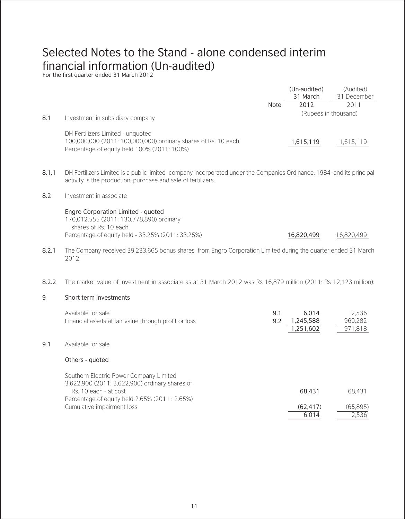## Selected Notes to the Stand - alone condensed interim financial information (Un-audited) For the first quarter ended 31 March 2012

|       |                                                                                                                                                                                        |            | (Un-audited)<br>31 March | (Audited)<br>31 December |
|-------|----------------------------------------------------------------------------------------------------------------------------------------------------------------------------------------|------------|--------------------------|--------------------------|
|       |                                                                                                                                                                                        | Note       | 2012                     | 2011                     |
| 8.1   | Investment in subsidiary company                                                                                                                                                       |            | (Rupees in thousand)     |                          |
|       | DH Fertilizers Limited - unquoted<br>100,000,000 (2011: 100,000,000) ordinary shares of Rs. 10 each<br>Percentage of equity held 100% (2011: 100%)                                     |            | 1,615,119                | 1,615,119                |
| 8.1.1 | DH Fertilizers Limited is a public limited company incorporated under the Companies Ordinance, 1984 and its principal<br>activity is the production, purchase and sale of fertilizers. |            |                          |                          |
| 8.2   | Investment in associate                                                                                                                                                                |            |                          |                          |
|       | Engro Corporation Limited - guoted<br>170.012.555 (2011: 130.778.890) ordinary<br>shares of Rs. 10 each<br>Percentage of equity held - 33.25% (2011: 33.25%)                           |            | 16,820,499               | 16,820,499               |
| 8.2.1 | The Company received 39,233,665 bonus shares from Engro Corporation Limited during the quarter ended 31 March<br>2012.                                                                 |            |                          |                          |
| 8.2.2 | The market value of investment in associate as at 31 March 2012 was Rs 16,879 million (2011: Rs 12,123 million).                                                                       |            |                          |                          |
| 9     | Short term investments                                                                                                                                                                 |            |                          |                          |
|       | Available for sale<br>Financial assets at fair value through profit or loss                                                                                                            | 9.1<br>9.2 | 6.014<br>1,245,588       | 2.536<br>969.282         |

#### 9.1 Available for sale

#### Others - quoted

Southern Electric Power Company Limited 3,622,900 (2011: 3,622,900) ordinary shares of Rs. 10 each - at cost Percentage of equity held 2.65% (2011 : 2.65%) Cumulative impairment loss 68,431 (62,417) 6,014 68,431 (65,895) 2,536

1,251,602

971,818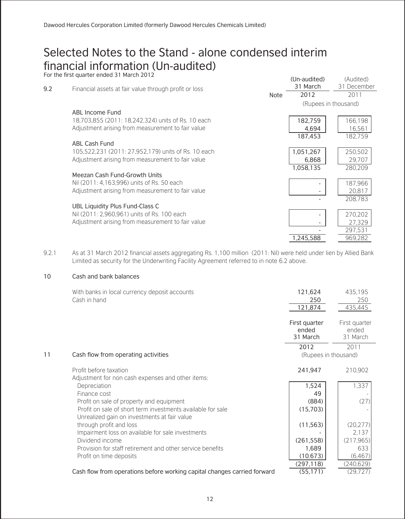# Selected Notes to the Stand - alone condensed interim financial information (Un-audited) For the first quarter ended 31 March 2012

|     | FOI THE HIST QUALER ENGED 31 MAICH ZUTZ               |      | (Un-audited)<br>31 March | (Audited)<br>31 December |
|-----|-------------------------------------------------------|------|--------------------------|--------------------------|
| 9.2 | Financial assets at fair value through profit or loss | Note | 2012                     | 2011                     |
|     |                                                       |      |                          | (Rupees in thousand)     |
|     | ABL Income Fund                                       |      |                          |                          |
|     | 18,703,855 (2011: 18,242,324) units of Rs. 10 each    |      | 182,759                  | 166.198                  |
|     | Adjustment arising from measurement to fair value     |      | 4.694                    | 16.561                   |
|     |                                                       |      | 187,453                  | 182.759                  |
|     | <b>ABL Cash Fund</b>                                  |      |                          |                          |
|     | 105,522,231 (2011: 27,952,179) units of Rs. 10 each   |      | 1,051,267                | 250,502                  |
|     | Adjustment arising from measurement to fair value     |      | 6,868                    | 29,707                   |
|     |                                                       |      | 1,058,135                | 280.209                  |
|     | Meezan Cash Fund-Growth Units                         |      |                          |                          |
|     | Nil (2011: 4.163.996) units of Rs. 50 each            |      | $\overline{\phantom{a}}$ | 187,966                  |
|     | Adjustment arising from measurement to fair value     |      |                          | 20,817                   |
|     |                                                       |      |                          | 208,783                  |
|     | UBL Liquidity Plus Fund-Class C                       |      |                          |                          |
|     | Nil (2011: 2.960.961) units of Rs. 100 each           |      | $\overline{\phantom{a}}$ | 270,202                  |
|     | Adjustment arising from measurement to fair value     |      |                          | 27.329                   |
|     |                                                       |      |                          | 297,531                  |
|     |                                                       |      | 1,245,588                | 969,282                  |

9.2.1 As at 31 March 2012 financial assets aggregating Rs. 1,100 million (2011: Nil) were held under lien by Allied Bank Limited as security for the Underwriting Facility Agreement referred to in note 6.2 above.

#### 10 Cash and bank balances

|    | With banks in local currency deposit accounts<br>Cash in hand            | 121,624<br>250<br>121,874          | 435,195<br>250<br>435,445          |
|----|--------------------------------------------------------------------------|------------------------------------|------------------------------------|
|    |                                                                          | First quarter<br>ended<br>31 March | First quarter<br>ended<br>31 March |
|    |                                                                          | 2012                               | 2011                               |
| 11 | Cash flow from operating activities                                      | (Rupees in thousand)               |                                    |
|    | Profit before taxation                                                   | 241,947                            | 210,902                            |
|    | Adjustment for non cash expenses and other items:                        |                                    |                                    |
|    | Depreciation                                                             | 1,524                              | 1,337                              |
|    | Finance cost                                                             | 49                                 |                                    |
|    | Profit on sale of property and equipment                                 | (884)                              | (27)                               |
|    | Profit on sale of short term investments available for sale              | (15,703)                           |                                    |
|    | Unrealized gain on investments at fair value                             |                                    |                                    |
|    | through profit and loss                                                  | (11, 563)                          | (20.277)                           |
|    | Impairment loss on available for sale investments                        |                                    | 2.137                              |
|    | Dividend income                                                          | (261, 558)                         | (217.965)                          |
|    | Provision for staff retirement and other service benefits                | 1,689                              | 633                                |
|    | Profit on time deposits                                                  | (10.673)                           | (6, 467)                           |
|    |                                                                          | (297, 118)                         | (240,629)                          |
|    | Cash flow from operations before working capital changes carried forward | (55, 171)                          | (29.727)                           |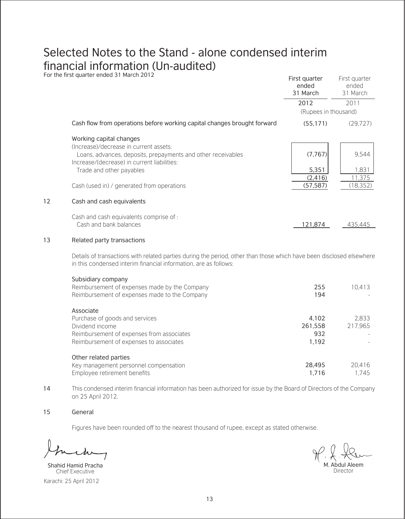# Selected Notes to the Stand - alone condensed interim financial information (Un-audited) For the first quarter ended 31 March 2012

|    | <u>U the mot guarter chaca of march zonz</u>                                                                                                                                             | First quarter<br>ended<br>31 March | First quarter<br>ended<br>31 March |
|----|------------------------------------------------------------------------------------------------------------------------------------------------------------------------------------------|------------------------------------|------------------------------------|
|    |                                                                                                                                                                                          | 2012                               | 2011                               |
|    |                                                                                                                                                                                          | (Rupees in thousand)               |                                    |
|    | Cash flow from operations before working capital changes brought forward                                                                                                                 | (55, 171)                          | (29.727)                           |
|    | Working capital changes                                                                                                                                                                  |                                    |                                    |
|    | (Increase)/decrease in current assets:<br>Loans, advances, deposits, prepayments and other receivables                                                                                   | (7, 767)                           | 9.544                              |
|    | Increase/(decrease) in current liabilities:<br>Trade and other payables                                                                                                                  | 5,351                              | 1,831                              |
|    | Cash (used in) / generated from operations                                                                                                                                               | (2,416)<br>(57, 587)               | 11.375<br>(18, 352)                |
| 12 | Cash and cash equivalents                                                                                                                                                                |                                    |                                    |
|    | Cash and cash equivalents comprise of:<br>Cash and bank balances                                                                                                                         | 121,874                            | 435,445                            |
| 13 | Related party transactions                                                                                                                                                               |                                    |                                    |
|    | Details of transactions with related parties during the period, other than those which have been disclosed elsewhere<br>in this condensed interim financial information, are as follows: |                                    |                                    |
|    | Subsidiary company<br>Reimbursement of expenses made by the Company<br>Reimbursement of expenses made to the Company                                                                     | 255<br>194                         | 10.413                             |
|    | Associate                                                                                                                                                                                |                                    |                                    |
|    | Purchase of goods and services<br>Dividend income                                                                                                                                        | 4,102<br>261,558                   | 2.833<br>217.965                   |
|    | Reimbursement of expenses from associates<br>Reimbursement of expenses to associates                                                                                                     | 932<br>1,192                       |                                    |
|    | Other related parties                                                                                                                                                                    |                                    |                                    |
|    | Key management personnel compensation<br>Employee retirement benefits                                                                                                                    | 28,495<br>1,716                    | 20,416<br>1.745                    |
|    |                                                                                                                                                                                          |                                    |                                    |

14 This condensed interim financial information has been authorized for issue by the Board of Directors of the Company on 25 April 2012.

#### 15 General

Figures have been rounded off to the nearest thousand of rupee, except as stated otherwise.

Karachi: 25 April 2012 Shahid Hamid Pracha Chief Executive

M. Abdul Aleem Director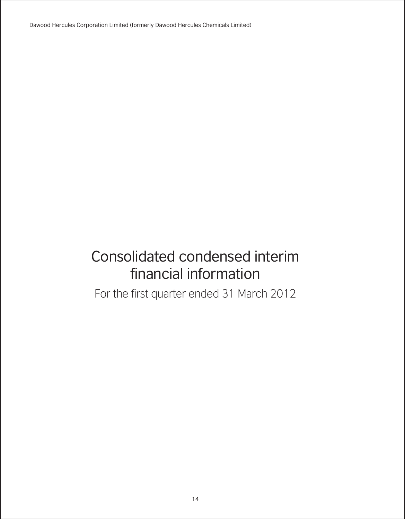Dawood Hercules Corporation Limited (formerly Dawood Hercules Chemicals Limited)

# Consolidated condensed interim financial information

For the first quarter ended 31 March 2012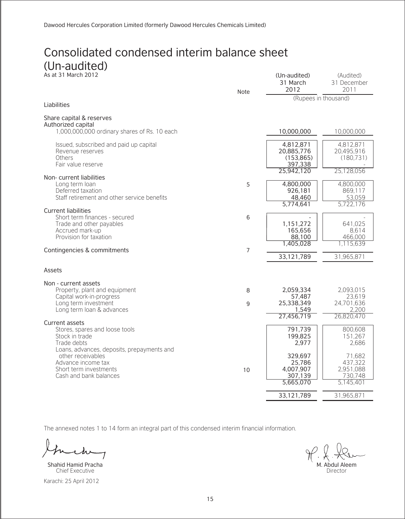#### Consolidated condensed interim balance sheet (Un-audited) As at 31 March 2012 (Un-audited)

|                                                           | Note | 31 March<br>2012      | 31 December<br>2011  |
|-----------------------------------------------------------|------|-----------------------|----------------------|
| Liabilities                                               |      | (Rupees in thousand)  |                      |
|                                                           |      |                       |                      |
| Share capital & reserves<br>Authorized capital            |      |                       |                      |
| 1,000,000,000 ordinary shares of Rs. 10 each              |      | 10,000,000            | 10,000,000           |
| Issued, subscribed and paid up capital                    |      | 4,812,871             | 4,812,871            |
| Revenue reserves                                          |      | 20,885,776            | 20,495,916           |
| Others<br>Fair value reserve                              |      | (153, 865)<br>397,338 | (180.731)            |
|                                                           |      | 25,942,120            | 25,128,056           |
| Non-current liabilities<br>Long term loan                 | 5    | 4,800,000             | 4,800,000            |
| Deferred taxation                                         |      | 926,181               | 869,117              |
| Staff retirement and other service benefits               |      | 48,460                | 53,059               |
| <b>Current liabilities</b>                                |      | 5,774,641             | 5,722,176            |
| Short term finances - secured                             | 6    |                       |                      |
| Trade and other payables                                  |      | 1,151,272             | 641,025              |
| Accrued mark-up<br>Provision for taxation                 |      | 165,656<br>88,100     | 8.614<br>466,000     |
|                                                           |      | 1,405,028             | 1,115,639            |
| Contingencies & commitments                               | 7    |                       |                      |
|                                                           |      | 33,121,789            | 31,965,871           |
| Assets                                                    |      |                       |                      |
| Non - current assets                                      |      |                       |                      |
| Property, plant and equipment                             | 8    | 2,059,334             | 2.093.015            |
| Capital work-in-progress<br>Long term investment          | 9    | 57,487<br>25,338,349  | 23,619<br>24.701.636 |
| Long term loan & advances                                 |      | 1,549                 | 2,200                |
| Current assets                                            |      | 27,456,719            | 26,820,470           |
| Stores, spares and loose tools                            |      | 791,739               | 800.608              |
| Stock in trade                                            |      | 199,825               | 151.267              |
| Trade debts<br>Loans, advances, deposits, prepayments and |      | 2.977                 | 2.686                |
| other receivables                                         |      | 329,697               | 71,682               |
| Advance income tax                                        |      | 25,786                | 437,322              |
| Short term investments                                    | 10   | 4,007,907             | 2,951,088            |
| Cash and bank balances                                    |      | 307,139<br>5,665,070  | 730,748<br>5,145,401 |
|                                                           |      |                       |                      |
|                                                           |      | 33,121,789            | 31,965,871           |

The annexed notes 1 to 14 form an integral part of this condensed interim financial information.

Karachi: 25 April 2012 Shahid Hamid Pracha Chief Executive

M. Abdul Aleem Director

(Audited)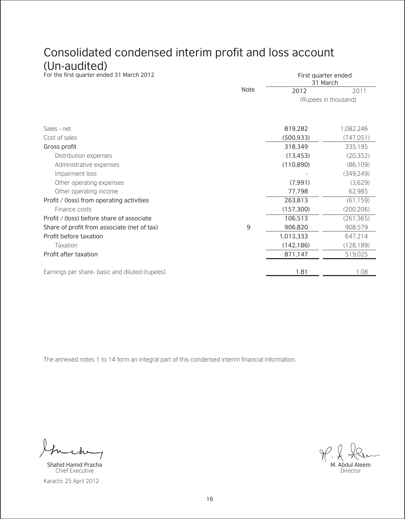### Consolidated condensed interim profit and loss account

(Un-audited)<br>For the first quarter ended 31 March 2012

|                                                |      | 31 March             |            |
|------------------------------------------------|------|----------------------|------------|
|                                                | Note | 2012                 | 2011       |
|                                                |      | (Rupees in thousand) |            |
| Sales - net                                    |      | 819,282              | 1,082,246  |
| Cost of sales                                  |      | (500.933)            | (747, 051) |
| Gross profit                                   |      | 318,349              | 335,195    |
| Distribution expenses                          |      | (13, 453)            | (20.352)   |
| Administrative expenses                        |      | (110, 890)           | (86, 109)  |
| Impairment loss                                |      |                      | (349.249)  |
| Other operating expenses                       |      | (7, 991)             | (3,629)    |
| Other operating income                         |      | 77,798               | 62,985     |
| Profit / (loss) from operating activities      |      | 263,813              | (61, 159)  |
| Finance costs                                  |      | (157, 300)           | (200, 206) |
| Profit / (loss) before share of associate      |      | 106,513              | (261, 365) |
| Share of profit from associate (net of tax)    | 9    | 906,820              | 908,579    |
| Profit before taxation                         |      | 1,013,333            | 647.214    |
| Taxation                                       |      | (142, 186)           | (128, 189) |
| Profit after taxation                          |      | 871,147              | 519,025    |
|                                                |      |                      |            |
| Earnings per share- basic and diluted (rupees) |      | 1.81                 | 1.08       |

The annexed notes 1 to 14 form an integral part of this condensed interim financial information.

Karachi: 25 April 2012 Shahid Hamid Pracha Chief Executive



First quarter ended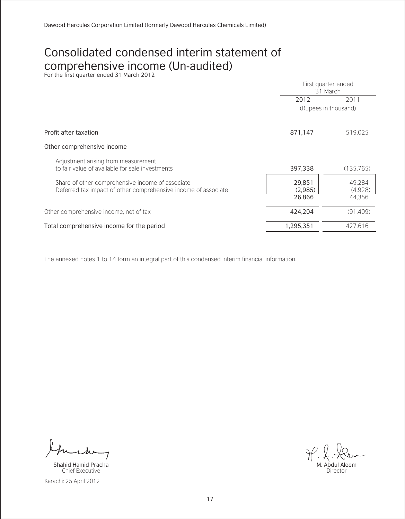# Consolidated condensed interim statement of COMPrehensive income (Un-audited)<br>For the first quarter ended 31 March 2012

|                                                                                                                    | First quarter ended<br>31 March |                             |
|--------------------------------------------------------------------------------------------------------------------|---------------------------------|-----------------------------|
|                                                                                                                    | 2012                            | 2011                        |
|                                                                                                                    |                                 | (Rupees in thousand)        |
| Profit after taxation                                                                                              | 871,147                         | 519.025                     |
| Other comprehensive income                                                                                         |                                 |                             |
| Adjustment arising from measurement<br>to fair value of available for sale investments                             | 397,338                         | (135.765)                   |
| Share of other comprehensive income of associate<br>Deferred tax impact of other comprehensive income of associate | 29,851<br>(2.985)<br>26,866     | 49.284<br>(4.928)<br>44.356 |
| Other comprehensive income, net of tax                                                                             | 424,204                         | (91, 409)                   |
| Total comprehensive income for the period                                                                          | 1,295,351                       | 427.616                     |

Karachi: 25 April 2012 Shahid Hamid Pracha Chief Executive

M. Abdul Aleem Director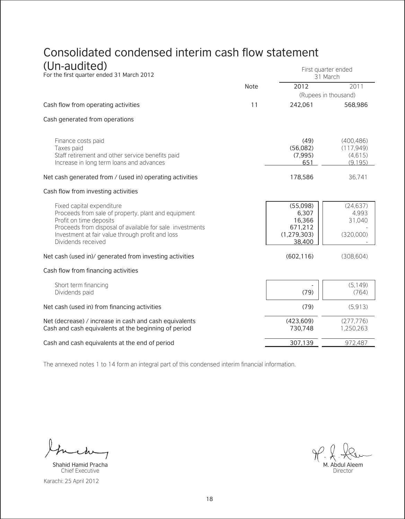# Consolidated condensed interim cash flow statement

| (Un-audited)<br>For the first quarter ended 31 March 2012                                                                                                                                                                                         |      |                                                                   | First quarter ended<br>31 March               |
|---------------------------------------------------------------------------------------------------------------------------------------------------------------------------------------------------------------------------------------------------|------|-------------------------------------------------------------------|-----------------------------------------------|
|                                                                                                                                                                                                                                                   | Note | 2012                                                              | 2011                                          |
|                                                                                                                                                                                                                                                   |      |                                                                   | (Rupees in thousand)                          |
| Cash flow from operating activities                                                                                                                                                                                                               | 11   | 242,061                                                           | 568,986                                       |
| Cash generated from operations                                                                                                                                                                                                                    |      |                                                                   |                                               |
| Finance costs paid<br>Taxes paid<br>Staff retirement and other service benefits paid<br>Increase in long term loans and advances                                                                                                                  |      | (49)<br>(56,082)<br>(7, 995)<br>651                               | (400, 486)<br>(117.949)<br>(4.615)<br>(9.195) |
| Net cash generated from / (used in) operating activities                                                                                                                                                                                          |      | 178,586                                                           | 36.741                                        |
| Cash flow from investing activities                                                                                                                                                                                                               |      |                                                                   |                                               |
| Fixed capital expenditure<br>Proceeds from sale of property, plant and equipment<br>Profit on time deposits<br>Proceeds from disposal of available for sale investments<br>Investment at fair value through profit and loss<br>Dividends received |      | (55,098)<br>6,307<br>16,366<br>671,212<br>(1, 279, 303)<br>38,400 | (24.637)<br>4.993<br>31,040<br>(320,000)      |
| Net cash (used in)/ generated from investing activities                                                                                                                                                                                           |      | (602, 116)                                                        | (308, 604)                                    |
| Cash flow from financing activities                                                                                                                                                                                                               |      |                                                                   |                                               |
| Short term financing<br>Dividends paid                                                                                                                                                                                                            |      | (79)                                                              | (5.149)<br>(764)                              |
| Net cash (used in) from financing activities                                                                                                                                                                                                      |      | (79)                                                              | (5.913)                                       |
| Net (decrease) / increase in cash and cash equivalents<br>Cash and cash equivalents at the beginning of period                                                                                                                                    |      | (423, 609)<br>730,748                                             | (277.776)<br>1.250.263                        |
| Cash and cash equivalents at the end of period                                                                                                                                                                                                    |      | 307,139                                                           | 972,487                                       |

Karachi: 25 April 2012 Shahid Hamid Pracha Chief Executive

M. Abdul Aleem Director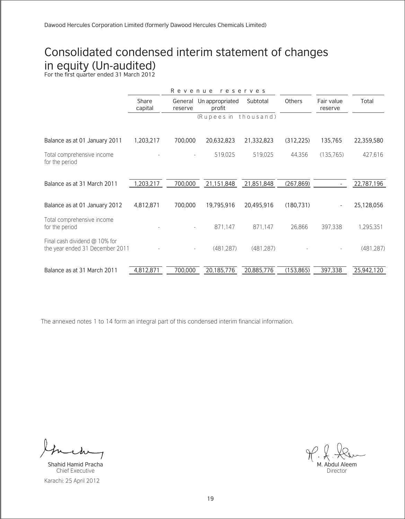# Consolidated condensed interim statement of changes in equity (Un-audited) For the first quarter ended 31 March 2012

|                                                                  |                  | Revenue            |                           | reserves   |               |                       |            |
|------------------------------------------------------------------|------------------|--------------------|---------------------------|------------|---------------|-----------------------|------------|
|                                                                  | Share<br>capital | General<br>reserve | Un appropriated<br>profit | Subtotal   | <b>Others</b> | Fair value<br>reserve | Total      |
|                                                                  |                  |                    | (Rupees in thousand)      |            |               |                       |            |
| Balance as at 01 January 2011                                    | 1,203,217        | 700,000            | 20,632,823                | 21,332,823 | (312, 225)    | 135,765               | 22,359,580 |
| Total comprehensive income<br>for the period                     |                  |                    | 519,025                   | 519,025    | 44.356        | (135,765)             | 427,616    |
| Balance as at 31 March 2011                                      | 1,203,217        | 700,000            | 21,151,848                | 21,851,848 | (267, 869)    |                       | 22,787,196 |
| Balance as at 01 January 2012                                    | 4,812,871        | 700,000            | 19,795,916                | 20,495,916 | (180, 731)    |                       | 25,128,056 |
| Total comprehensive income<br>for the period                     |                  |                    | 871.147                   | 871.147    | 26,866        | 397.338               | 1.295.351  |
| Final cash dividend @ 10% for<br>the year ended 31 December 2011 |                  |                    | (481.287)                 | (481.287)  |               |                       | (481.287)  |
| Balance as at 31 March 2011                                      | 4,812,871        | 700,000            | 20,185,776                | 20,885,776 | (153, 865)    | 397,338               | 25,942,120 |

Karachi: 25 April 2012 Shahid Hamid Pracha Chief Executive

M. Abdul Aleem Director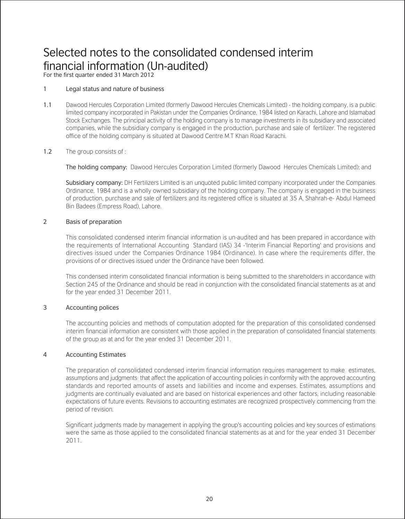For the first quarter ended 31 March 2012

#### 1 Legal status and nature of business

1.1 Dawood Hercules Corporation Limited (formerly Dawood Hercules Chemicals Limited) - the holding company, is a public limited company incorporated in Pakistan under the Companies Ordinance, 1984 listed on Karachi, Lahore and Islamabad Stock Exchanges. The principal activity of the holding company is to manage investments in its subsidiary and associated companies, while the subsidiary company is engaged in the production, purchase and sale of fertilizer. The registered office of the holding company is situated at Dawood Centre M.T Khan Road Karachi.

#### 1.2 The group consists of :

The holding company: Dawood Hercules Corporation Limited (formerly Dawood Hercules Chemicals Limited); and

Subsidiary company: DH Fertilizers Limited is an unquoted public limited company incorporated under the Companies Ordinance, 1984 and is a wholly owned subsidiary of the holding company. The company is engaged in the business of production, purchase and sale of fertilizers and its registered office is situated at 35 A, Shahrah-e- Abdul Hameed Bin Badees (Empress Road), Lahore.

#### 2 Basis of preparation

 This consolidated condensed interim financial information is un-audited and has been prepared in accordance with the requirements of International Accounting Standard (IAS) 34 -'Interim Financial Reporting' and provisions and directives issued under the Companies Ordinance 1984 (Ordinance). In case where the requirements differ, the provisions of or directives issued under the Ordinance have been followed.

This condensed interim consolidated financial information is being submitted to the shareholders in accordance with Section 245 of the Ordinance and should be read in conjunction with the consolidated financial statements as at and for the year ended 31 December 2011.

#### 3 Accounting polices

 The accounting policies and methods of computation adopted for the preparation of this consolidated condensed interim financial information are consistent with those applied in the preparation of consolidated financial statements of the group as at and for the year ended 31 December 2011.

#### 4 Accounting Estimates

 The preparation of consolidated condensed interim financial information requires management to make estimates, assumptions and judgments that affect the application of accounting policies in conformity with the approved accounting standards and reported amounts of assets and liabilities and income and expenses. Estimates, assumptions and judgments are continually evaluated and are based on historical experiences and other factors, including reasonable expectations of future events. Revisions to accounting estimates are recognized prospectively commencing from the period of revision.

Significant judgments made by management in applying the group's accounting policies and key sources of estimations were the same as those applied to the consolidated financial statements as at and for the year ended 31 December 2011.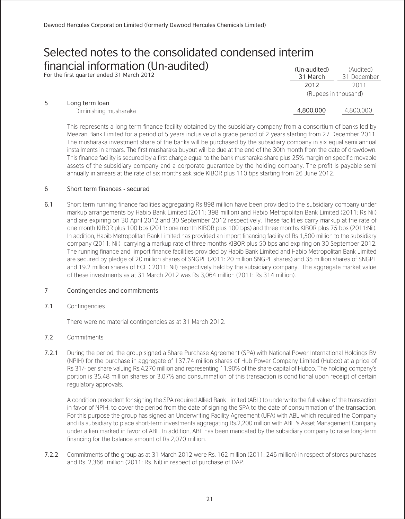For the first quarter ended 31 March 2012

|                       | <b>LUIL</b>          | ZV I I    |
|-----------------------|----------------------|-----------|
|                       | (Rupees in thousand) |           |
| Long term loan        |                      |           |
| Diminishing musharaka | 4,800,000            | 4,800,000 |

This represents a long term finance facility obtained by the subsidiary company from a consortium of banks led by Meezan Bank Limited for a period of 5 years inclusive of a grace period of 2 years starting from 27 December 2011. The musharaka investment share of the banks will be purchased by the subsidiary company in six equal semi annual installments in arrears. The first musharaka buyout will be due at the end of the 30th month from the date of drawdown. This finance facility is secured by a first charge equal to the bank musharaka share plus 25% margin on specific movable assets of the subsidiary company and a corporate guarantee by the holding company. The profit is payable semi annually in arrears at the rate of six months ask side KIBOR plus 110 bps starting from 26 June 2012.

31 March  $\frac{1}{2012}$ 

(Audited) 31 December  $2011$ 

#### 6 Short term finances - secured

6.1 Short term running finance facilities aggregating Rs 898 million have been provided to the subsidiary company under markup arrangements by Habib Bank Limited (2011: 398 million) and Habib Metropolitan Bank Limited (2011: Rs Nil) and are expiring on 30 April 2012 and 30 September 2012 respectively. These facilities carry markup at the rate of one month KIBOR plus 100 bps (2011: one month KIBOR plus 100 bps) and three months KIBOR plus 75 bps (2011:Nil). In addition, Habib Metropolitan Bank Limited has provided an import financing facility of Rs 1,500 million to the subsidiary company (2011: Nil) carrying a markup rate of three months KIBOR plus 50 bps and expiring on 30 September 2012. The running finance and import finance facilities provided by Habib Bank Limited and Habib Metropolitan Bank Limited are secured by pledge of 20 million shares of SNGPL (2011: 20 million SNGPL shares) and 35 million shares of SNGPL and 19.2 million shares of ECL ( 2011: Nil) respectively held by the subsidiary company. The aggregate market value of these investments as at 31 March 2012 was Rs 3,064 million (2011: Rs 314 million).

#### 7 Contingencies and commitments

7.1 Contingencies

There were no material contingencies as at 31 March 2012.

- 7.2 Commitments
- 7.2.1 During the period, the group signed a Share Purchase Agreement (SPA) with National Power International Holdings BV (NPIH) for the purchase in aggregate of 137.74 million shares of Hub Power Company Limited (Hubco) at a price of Rs 31/- per share valuing Rs.4,270 million and representing 11.90% of the share capital of Hubco. The holding company's portion is 35.48 million shares or 3.07% and consummation of this transaction is conditional upon receipt of certain regulatory approvals.

A condition precedent for signing the SPA required Allied Bank Limited (ABL) to underwrite the full value of the transaction in favor of NPIH, to cover the period from the date of signing the SPA to the date of consummation of the transaction. For this purpose the group has signed an Underwriting Facility Agreement (UFA) with ABL which required the Company and its subsidiary to place short-term investments aggregating Rs.2,200 million with ABL 's Asset Management Company under a lien marked in favor of ABL. In addition, ABL has been mandated by the subsidiary company to raise long-term financing for the balance amount of Rs.2,070 million.

7.2.2 Commitments of the group as at 31 March 2012 were Rs. 162 million (2011: 246 million) in respect of stores purchases and Rs. 2,366 million (2011: Rs. Nil) in respect of purchase of DAP.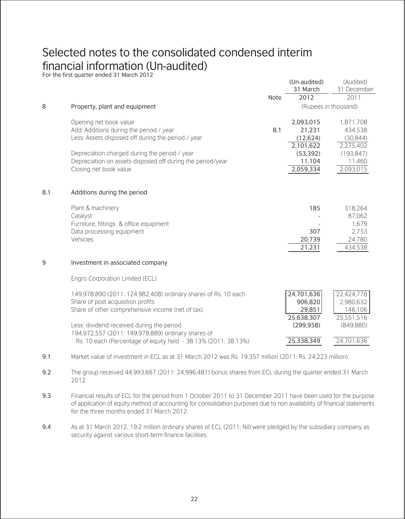# Selected notes to the consolidated condensed interim financial information (Un-audited) For the first quarter ended 31 March 2012

|     |                                                                                                          |      | (Un-audited)<br>31 March | (Audited)<br>31 December |
|-----|----------------------------------------------------------------------------------------------------------|------|--------------------------|--------------------------|
|     |                                                                                                          | Note | 2012                     | 2011                     |
| 8   | Property, plant and equipment                                                                            |      |                          | (Rupees in thousand)     |
|     | Opening net book value                                                                                   |      | 2,093,015                | 1,871,708                |
|     | Add: Additions during the period / year                                                                  | 8.1  | 21,231                   | 434,538                  |
|     | Less: Assets disposed off during the period / year                                                       |      | (12.624)                 | (30, 844)                |
|     |                                                                                                          |      | 2.101.622                | 2.275.402                |
|     | Depreciation charged during the period / year                                                            |      | (53, 392)                | (193.847)                |
|     | Depreciation on assets disposed off during the period/year                                               |      | 11,104                   | 11,460                   |
|     | Closing net book value                                                                                   |      | 2,059,334                | 2,093,015                |
| 8.1 | Additions during the period                                                                              |      |                          |                          |
|     | Plant & machinery                                                                                        |      | 185                      | 318,264                  |
|     | Catalyst                                                                                                 |      |                          | 87,062                   |
|     | Furniture, fittings & office equipment                                                                   |      |                          | 1,679                    |
|     | Data processing equipment                                                                                |      | 307                      | 2.753                    |
|     | Vehicles                                                                                                 |      | 20,739                   | 24.780                   |
|     |                                                                                                          |      | 21,231                   | 434,538                  |
| 9   | Investment in associated company                                                                         |      |                          |                          |
|     | Engro Corporation Limited (ECL)                                                                          |      |                          |                          |
|     | 149,978,890 (2011: 124,982,408) ordinary shares of Rs. 10 each                                           |      | 24.701.636               | 22.424.778               |
|     | Share of post acquisition profits                                                                        |      | 906,820                  | 2,980,632                |
|     | Share of other comprehensive income (net of tax)                                                         |      | 29,851                   | 146,106                  |
|     |                                                                                                          |      | 25,638,307               | 25,551,516               |
|     | Less: dividend received during the period                                                                |      | (299.958)                | (849, 880)               |
|     | 194,972,557 (2011: 149,978,889) ordinary shares of                                                       |      |                          |                          |
|     | Rs. 10 each (Percentage of equity held - 38.13% (2011: 38.13%)                                           |      | 25,338,349               | 24,701,636               |
| 9.1 | Market value of investment in ECL as at 31 March 2012 was Rs. 19,357 million (2011; Rs. 24,223 million). |      |                          |                          |

9.2 The group received 44,993,667 (2011: 24,996,481) bonus shares from ECL during the quarter ended 31 March 2012.

- 9.3 Financial results of ECL for the period from 1 October 2011 to 31 December 2011 have been used for the purpose of application of equity method of accounting for consolidation purposes due to non availability of financial statements for the three months ended 31 March 2012.
- 9.4 As at 31 March 2012, 19.2 million ordinary shares of ECL (2011: Nil) were pledged by the subsidiary company as security against various short-term finance facilities.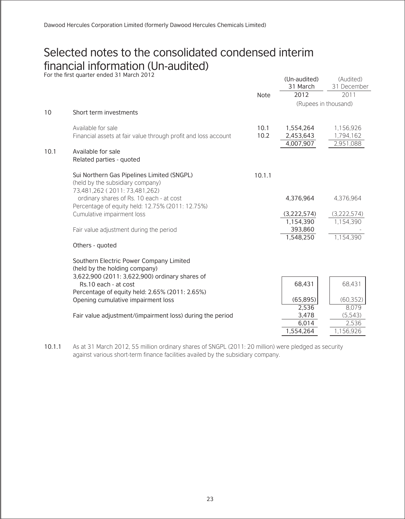# Selected notes to the consolidated condensed interim financial information (Un-audited) For the first quarter ended 31 March 2012

|      | FOI THE IIIST QUALLEL EIIUEU 31 MAICH ZUTZ                             |        | (Un-audited)<br>31 March | (Audited)<br>31 December |
|------|------------------------------------------------------------------------|--------|--------------------------|--------------------------|
|      |                                                                        | Note   | 2012                     | 2011                     |
|      |                                                                        |        | (Rupees in thousand)     |                          |
| 10   | Short term investments                                                 |        |                          |                          |
|      | Available for sale                                                     | 10.1   | 1,554,264                | 1,156,926                |
|      | Financial assets at fair value through profit and loss account         | 10.2   | 2,453,643<br>4,007,907   | 1.794.162                |
| 10.1 | Available for sale                                                     |        |                          | 2,951,088                |
|      | Related parties - quoted                                               |        |                          |                          |
|      | Sui Northern Gas Pipelines Limited (SNGPL)                             | 10.1.1 |                          |                          |
|      | (held by the subsidiary company)<br>73,481,262 (2011: 73,481,262)      |        |                          |                          |
|      | ordinary shares of Rs. 10 each - at cost                               |        | 4,376,964                | 4.376.964                |
|      | Percentage of equity held: 12.75% (2011: 12.75%)                       |        |                          |                          |
|      | Cumulative impairment loss                                             |        | (3,222,574)              | (3.222.574)              |
|      | Fair value adjustment during the period                                |        | 1,154,390<br>393,860     | 1.154.390                |
|      |                                                                        |        | 1,548,250                | 1.154.390                |
|      | Others - quoted                                                        |        |                          |                          |
|      | Southern Electric Power Company Limited                                |        |                          |                          |
|      | (held by the holding company)                                          |        |                          |                          |
|      | 3,622,900 (2011: 3,622,900) ordinary shares of<br>Rs.10 each - at cost |        | 68,431                   | 68,431                   |
|      | Percentage of equity held: 2.65% (2011: 2.65%)                         |        |                          |                          |
|      | Opening cumulative impairment loss                                     |        | (65, 895)                | (60, 352)                |
|      | Fair value adjustment/(impairment loss) during the period              |        | 2,536<br>3,478           | 8.079<br>(5,543)         |
|      |                                                                        |        | 6,014                    | 2.536                    |
|      |                                                                        |        | 1,554,264                | 1.156.926                |
|      |                                                                        |        |                          |                          |

10.1.1 As at 31 March 2012, 55 million ordinary shares of SNGPL (2011: 20 million) were pledged as security against various short-term finance facilities availed by the subsidiary company.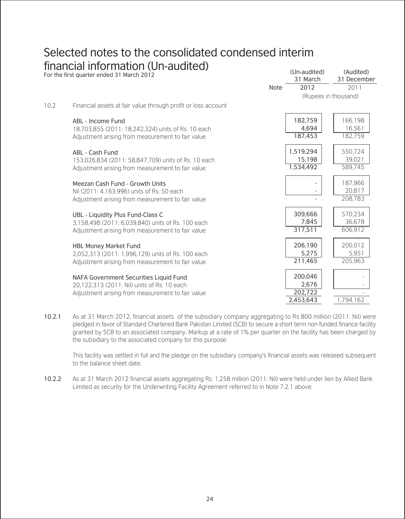|      | For the first quarter ended 31 March 2012                     |      | (Un-audited)<br>31 March | (Audited)<br>31 December |
|------|---------------------------------------------------------------|------|--------------------------|--------------------------|
|      |                                                               | Note | 2012                     | 2011                     |
|      |                                                               |      |                          | (Rupees in thousand)     |
| 10.2 | Financial assets at fair value through profit or loss account |      |                          |                          |
|      | ABL - Income Fund                                             |      | 182,759                  | 166,198                  |
|      | 18,703,855 (2011: 18,242,324) units of Rs. 10 each            |      | 4.694                    | 16.561                   |
|      | Adjustment arising from measurement to fair value             |      | 187,453                  | 182.759                  |
|      | ABL - Cash Fund                                               |      | 1,519,294                | 550.724                  |
|      | 153,026,834 (2011: 58,847,709) units of Rs. 10 each           |      | 15,198                   | 39.021                   |
|      | Adjustment arising from measurement to fair value             |      | 1,534,492                | 589.745                  |
|      | Meezan Cash Fund - Growth Units                               |      |                          | 187,966                  |
|      | Nil (2011: 4.163.996) units of Rs. 50 each                    |      |                          | 20.817                   |
|      | Adjustment arising from measurement to fair value             |      |                          | 208.783                  |
|      | UBL - Liquidity Plus Fund-Class C                             |      | 309,666                  | 570.234                  |
|      | 3,158,498 (2011: 6,039,840) units of Rs. 100 each             |      | 7,845                    | 36,678                   |
|      | Adjustment arising from measurement to fair value             |      | 317,511                  | 606,912                  |
|      | <b>HBL Money Market Fund</b>                                  |      | 206,190                  | 200,012                  |
|      | 2.052.313 (2011: 1.996.129) units of Rs. 100 each             |      | 5,275                    | 5.951                    |
|      | Adjustment arising from measurement to fair value             |      | 211.465                  | 205.963                  |
|      | NAFA Government Securities Liquid Fund                        |      | 200,046                  |                          |
|      | 20.122.313 (2011: Nil) units of Rs. 10 each                   |      | 2,676                    |                          |
|      | Adjustment arising from measurement to fair value             |      | 202,722                  |                          |
|      |                                                               |      | 2,453,643                | 1,794,162                |

 $(\Lambda, \Lambda)$ 

10.2.1 As at 31 March 2012, financial assets of the subsidiary company aggregating to Rs 800 million (2011: Nil) were pledged in favor of Standard Chartered Bank Pakistan Limited (SCB) to secure a short term non funded finance facility granted by SCB to an associated company. Markup at a rate of 1% per quarter on the facility has been charged by the subsidiary to the associated company for this purpose.

This facility was settled in full and the pledge on the subsidiary company's financial assets was released subsequent to the balance sheet date.

10.2.2 As at 31 March 2012 financial assets aggregating Rs. 1,258 million (2011: Nil) were held under lien by Allied Bank Limited as security for the Underwriting Facility Agreement referred to in Note 7.2.1 above.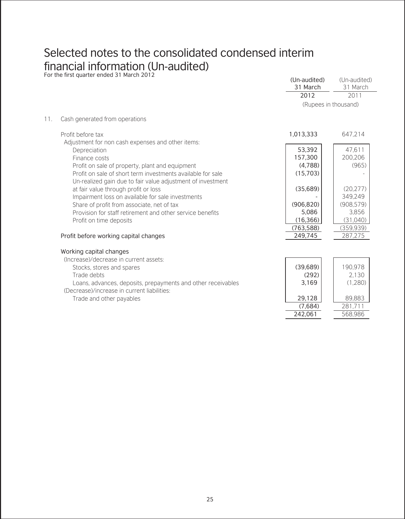|     | For the first quarter ended 31 March 2012                    | (Un-audited) | (Un-audited)         |
|-----|--------------------------------------------------------------|--------------|----------------------|
|     |                                                              | 31 March     | 31 March             |
|     |                                                              | 2012         | 2011                 |
|     |                                                              |              | (Rupees in thousand) |
| 11. | Cash generated from operations                               |              |                      |
|     | Profit before tax                                            | 1,013,333    | 647.214              |
|     | Adjustment for non cash expenses and other items:            |              |                      |
|     | Depreciation                                                 | 53,392       | 47.611               |
|     | Finance costs                                                | 157,300      | 200.206              |
|     | Profit on sale of property, plant and equipment              | (4,788)      | (965)                |
|     | Profit on sale of short term investments available for sale  | (15,703)     |                      |
|     | Un-realized gain due to fair value adjustment of investment  |              |                      |
|     | at fair value through profit or loss                         | (35,689)     | (20.277)             |
|     | Impairment loss on available for sale investments            |              | 349.249              |
|     | Share of profit from associate, net of tax                   | (906, 820)   | (908, 579)           |
|     | Provision for staff retirement and other service benefits    | 5,086        | 3.856                |
|     | Profit on time deposits                                      | (16, 366)    | (31,040)             |
|     |                                                              | (763, 588)   | (359.939)            |
|     | Profit before working capital changes                        | 249,745      | 287.275              |
|     | Working capital changes                                      |              |                      |
|     | (Increase)/decrease in current assets:                       |              |                      |
|     | Stocks, stores and spares                                    | (39,689)     | 190,978              |
|     | Trade debts                                                  | (292)        | 2.130                |
|     | Loans, advances, deposits, prepayments and other receivables | 3,169        | (1.280)              |
|     | (Decrease)/increase in current liabilities:                  |              |                      |
|     | Trade and other payables                                     | 29,128       | 89.883               |
|     |                                                              | (7.684)      | 281.711              |
|     |                                                              | 242,061      | 568,986              |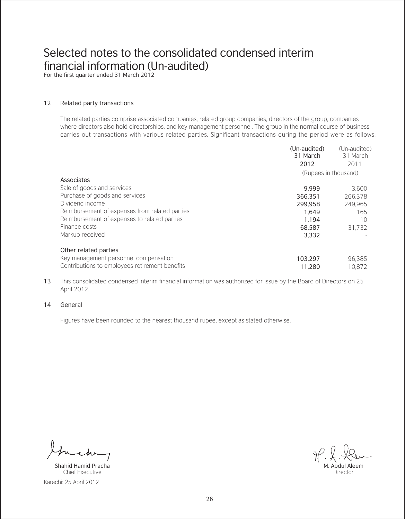For the first quarter ended 31 March 2012

#### 12 Related party transactions

The related parties comprise associated companies, related group companies, directors of the group, companies where directors also hold directorships, and key management personnel. The group in the normal course of business carries out transactions with various related parties. Significant transactions during the period were as follows:

|                                                | (Un-audited)<br>31 March | (Un-audited)<br>31 March |
|------------------------------------------------|--------------------------|--------------------------|
|                                                | 2012                     | 2011                     |
|                                                | (Rupees in thousand)     |                          |
| Associates                                     |                          |                          |
| Sale of goods and services                     | 9.999                    | 3.600                    |
| Purchase of goods and services                 | 366.351                  | 266.378                  |
| Dividend income                                | 299.958                  | 249.965                  |
| Reimbursement of expenses from related parties | 1.649                    | 165                      |
| Reimbursement of expenses to related parties   | 1.194                    | 10                       |
| Finance costs                                  | 68,587                   | 31.732                   |
| Markup received                                | 3.332                    |                          |
| Other related parties                          |                          |                          |
| Key management personnel compensation          | 103.297                  | 96.385                   |
| Contributions to employees retirement benefits | 11.280                   | 10.872                   |

13 This consolidated condensed interim financial information was authorized for issue by the Board of Directors on 25 April 2012.

#### 14 General

Figures have been rounded to the nearest thousand rupee, except as stated otherwise.

Karachi: 25 April 2012 Shahid Hamid Pracha Chief Executive

M. Abdul Aleem

Director